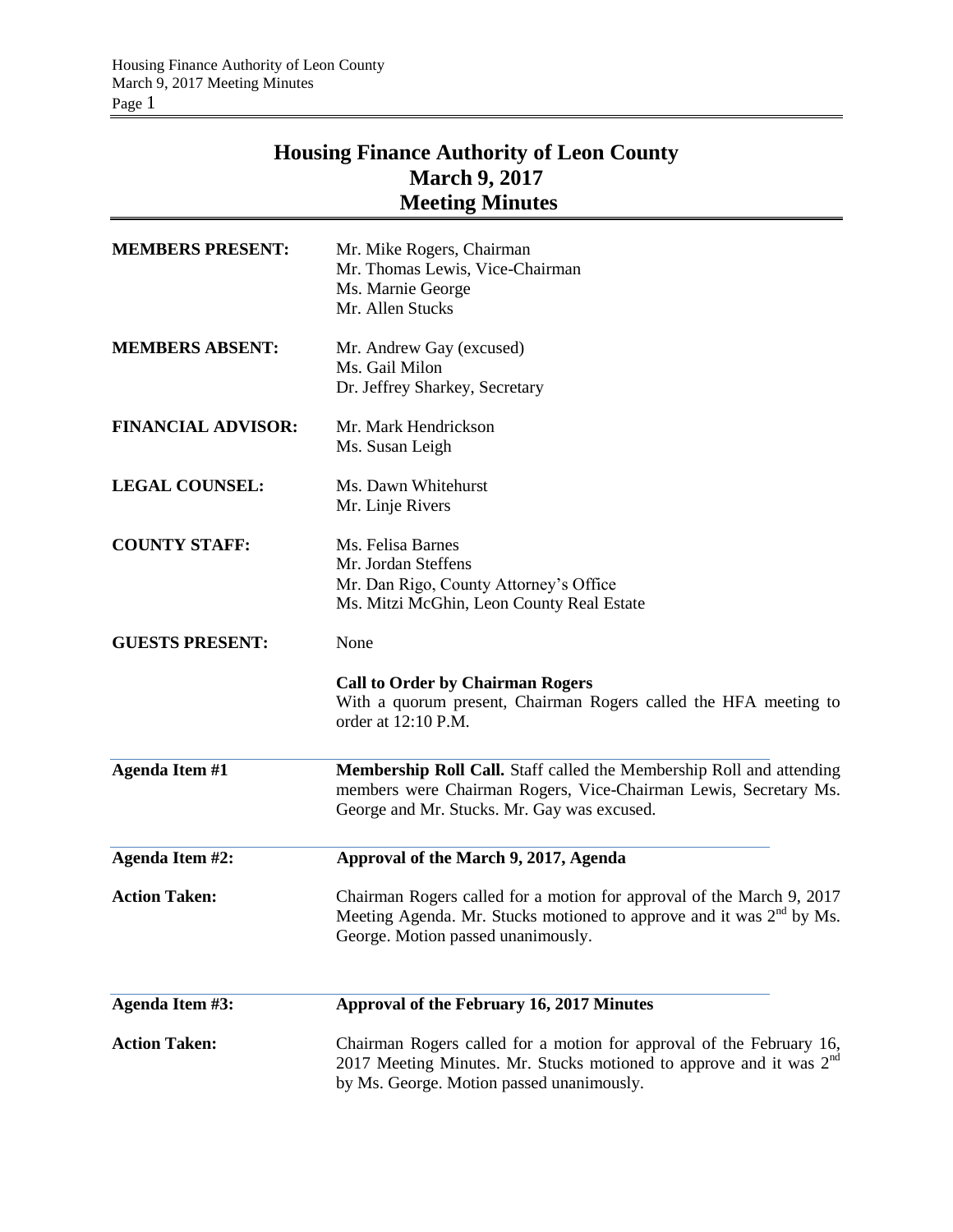## **Housing Finance Authority of Leon County March 9, 2017 Meeting Minutes**

| <b>MEMBERS PRESENT:</b>   | Mr. Mike Rogers, Chairman<br>Mr. Thomas Lewis, Vice-Chairman<br>Ms. Marnie George<br>Mr. Allen Stucks                                                                                                |
|---------------------------|------------------------------------------------------------------------------------------------------------------------------------------------------------------------------------------------------|
| <b>MEMBERS ABSENT:</b>    | Mr. Andrew Gay (excused)<br>Ms. Gail Milon<br>Dr. Jeffrey Sharkey, Secretary                                                                                                                         |
| <b>FINANCIAL ADVISOR:</b> | Mr. Mark Hendrickson<br>Ms. Susan Leigh                                                                                                                                                              |
| <b>LEGAL COUNSEL:</b>     | Ms. Dawn Whitehurst<br>Mr. Linje Rivers                                                                                                                                                              |
| <b>COUNTY STAFF:</b>      | Ms. Felisa Barnes<br>Mr. Jordan Steffens<br>Mr. Dan Rigo, County Attorney's Office<br>Ms. Mitzi McGhin, Leon County Real Estate                                                                      |
| <b>GUESTS PRESENT:</b>    | None<br><b>Call to Order by Chairman Rogers</b><br>With a quorum present, Chairman Rogers called the HFA meeting to<br>order at 12:10 P.M.                                                           |
| <b>Agenda Item #1</b>     | Membership Roll Call. Staff called the Membership Roll and attending<br>members were Chairman Rogers, Vice-Chairman Lewis, Secretary Ms.<br>George and Mr. Stucks. Mr. Gay was excused.              |
| Agenda Item #2:           | Approval of the March 9, 2017, Agenda                                                                                                                                                                |
| <b>Action Taken:</b>      | Chairman Rogers called for a motion for approval of the March 9, 2017<br>Meeting Agenda. Mr. Stucks motioned to approve and it was $2nd$ by Ms.<br>George. Motion passed unanimously.                |
| Agenda Item #3:           | Approval of the February 16, 2017 Minutes                                                                                                                                                            |
| <b>Action Taken:</b>      | Chairman Rogers called for a motion for approval of the February 16,<br>2017 Meeting Minutes. Mr. Stucks motioned to approve and it was 2 <sup>nd</sup><br>by Ms. George. Motion passed unanimously. |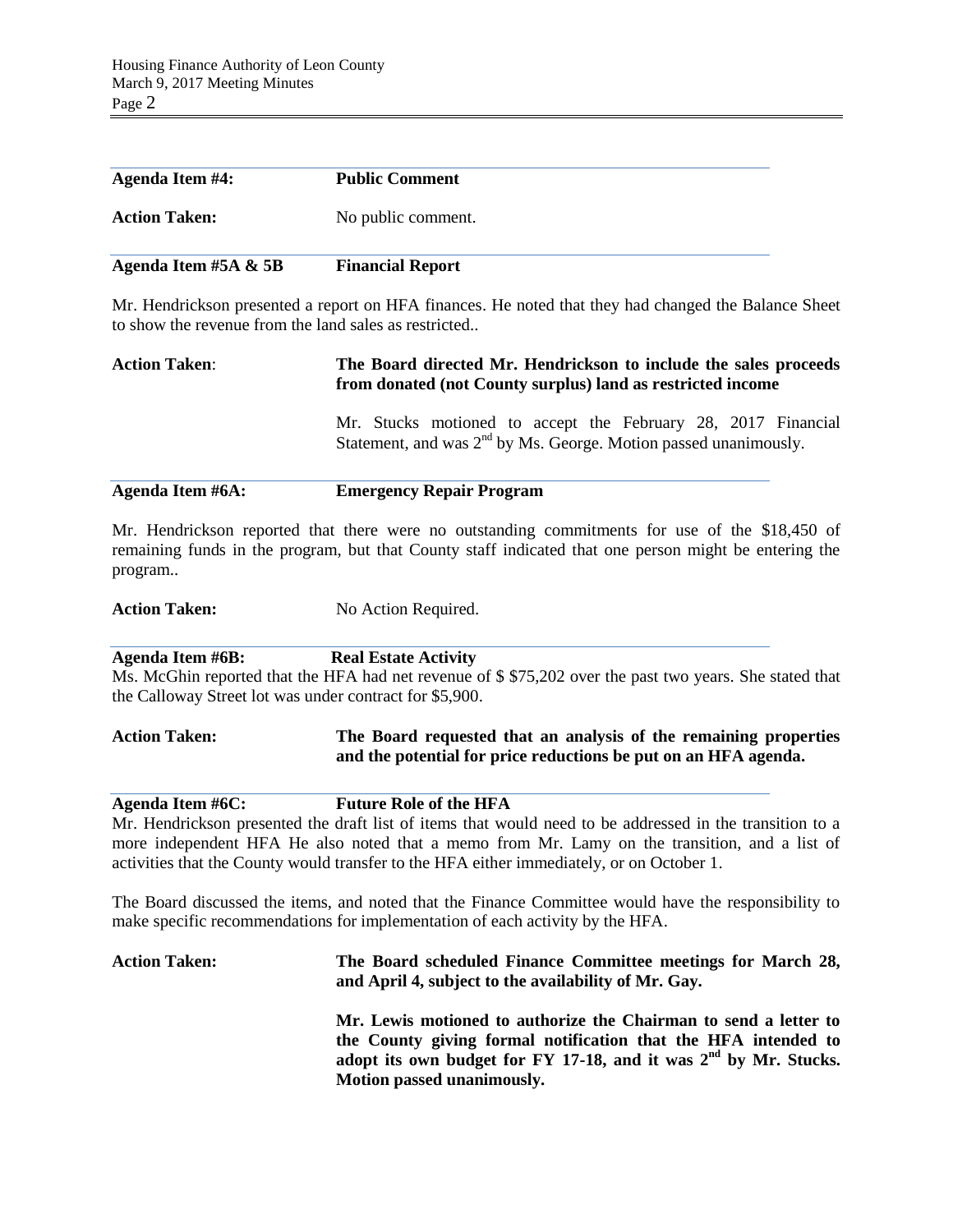| <b>Agenda Item #4:</b>  | <b>Public Comment</b>   |
|-------------------------|-------------------------|
| <b>Action Taken:</b>    | No public comment.      |
| Agenda Item #5A $\&$ 5B | <b>Financial Report</b> |

Mr. Hendrickson presented a report on HFA finances. He noted that they had changed the Balance Sheet to show the revenue from the land sales as restricted..

# **Action Taken**: **The Board directed Mr. Hendrickson to include the sales proceeds from donated (not County surplus) land as restricted income** Mr. Stucks motioned to accept the February 28, 2017 Financial Statement, and was  $2<sup>nd</sup>$  by Ms. George. Motion passed unanimously.

#### **Agenda Item #6A: Emergency Repair Program**

Mr. Hendrickson reported that there were no outstanding commitments for use of the \$18,450 of remaining funds in the program, but that County staff indicated that one person might be entering the program..

Action Taken: No Action Required.

**Agenda Item #6B: Real Estate Activity**

Ms. McGhin reported that the HFA had net revenue of \$ \$75,202 over the past two years. She stated that the Calloway Street lot was under contract for \$5,900.

#### **Action Taken: The Board requested that an analysis of the remaining properties and the potential for price reductions be put on an HFA agenda.**

#### **Agenda Item #6C: Future Role of the HFA**

Mr. Hendrickson presented the draft list of items that would need to be addressed in the transition to a more independent HFA He also noted that a memo from Mr. Lamy on the transition, and a list of activities that the County would transfer to the HFA either immediately, or on October 1.

The Board discussed the items, and noted that the Finance Committee would have the responsibility to make specific recommendations for implementation of each activity by the HFA.

### **Action Taken: The Board scheduled Finance Committee meetings for March 28, and April 4, subject to the availability of Mr. Gay. Mr. Lewis motioned to authorize the Chairman to send a letter to the County giving formal notification that the HFA intended to adopt its own budget for FY 17-18, and it was 2nd by Mr. Stucks. Motion passed unanimously.**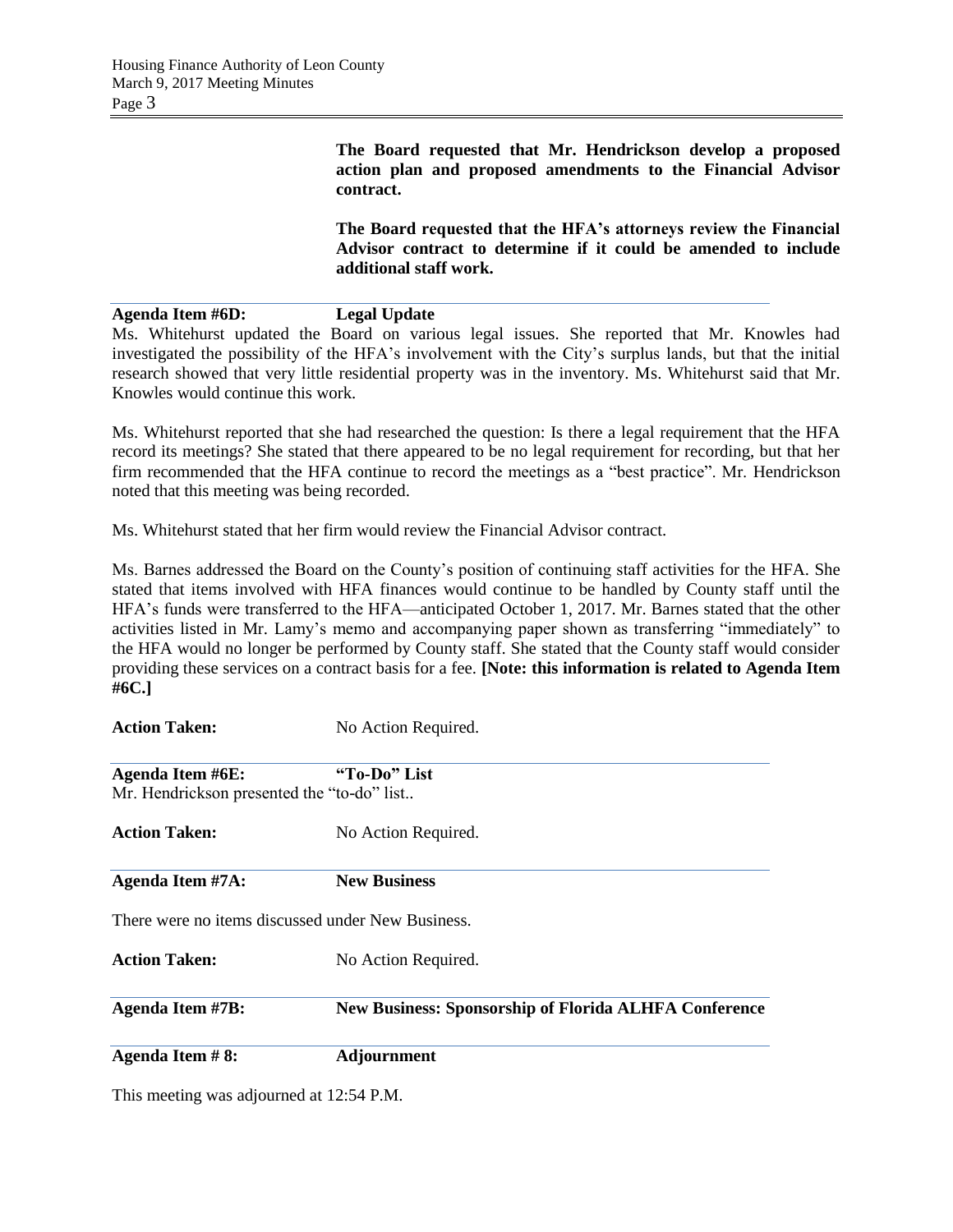**The Board requested that Mr. Hendrickson develop a proposed action plan and proposed amendments to the Financial Advisor contract.**

**The Board requested that the HFA's attorneys review the Financial Advisor contract to determine if it could be amended to include additional staff work.**

**Agenda Item #6D: Legal Update**

Ms. Whitehurst updated the Board on various legal issues. She reported that Mr. Knowles had investigated the possibility of the HFA's involvement with the City's surplus lands, but that the initial research showed that very little residential property was in the inventory. Ms. Whitehurst said that Mr. Knowles would continue this work.

Ms. Whitehurst reported that she had researched the question: Is there a legal requirement that the HFA record its meetings? She stated that there appeared to be no legal requirement for recording, but that her firm recommended that the HFA continue to record the meetings as a "best practice". Mr. Hendrickson noted that this meeting was being recorded.

Ms. Whitehurst stated that her firm would review the Financial Advisor contract.

Ms. Barnes addressed the Board on the County's position of continuing staff activities for the HFA. She stated that items involved with HFA finances would continue to be handled by County staff until the HFA's funds were transferred to the HFA—anticipated October 1, 2017. Mr. Barnes stated that the other activities listed in Mr. Lamy's memo and accompanying paper shown as transferring "immediately" to the HFA would no longer be performed by County staff. She stated that the County staff would consider providing these services on a contract basis for a fee. **[Note: this information is related to Agenda Item #6C.]**

| <b>Action Taken:</b>                                                  | No Action Required.                                          |
|-----------------------------------------------------------------------|--------------------------------------------------------------|
| <b>Agenda Item #6E:</b><br>Mr. Hendrickson presented the "to-do" list | "To-Do" List                                                 |
| <b>Action Taken:</b>                                                  | No Action Required.                                          |
| Agenda Item #7A:                                                      | <b>New Business</b>                                          |
|                                                                       | There were no items discussed under New Business.            |
| <b>Action Taken:</b>                                                  | No Action Required.                                          |
| <b>Agenda Item #7B:</b>                                               | <b>New Business: Sponsorship of Florida ALHFA Conference</b> |
| Agenda Item #8:                                                       | Adjournment                                                  |
|                                                                       |                                                              |

This meeting was adjourned at 12:54 P.M.